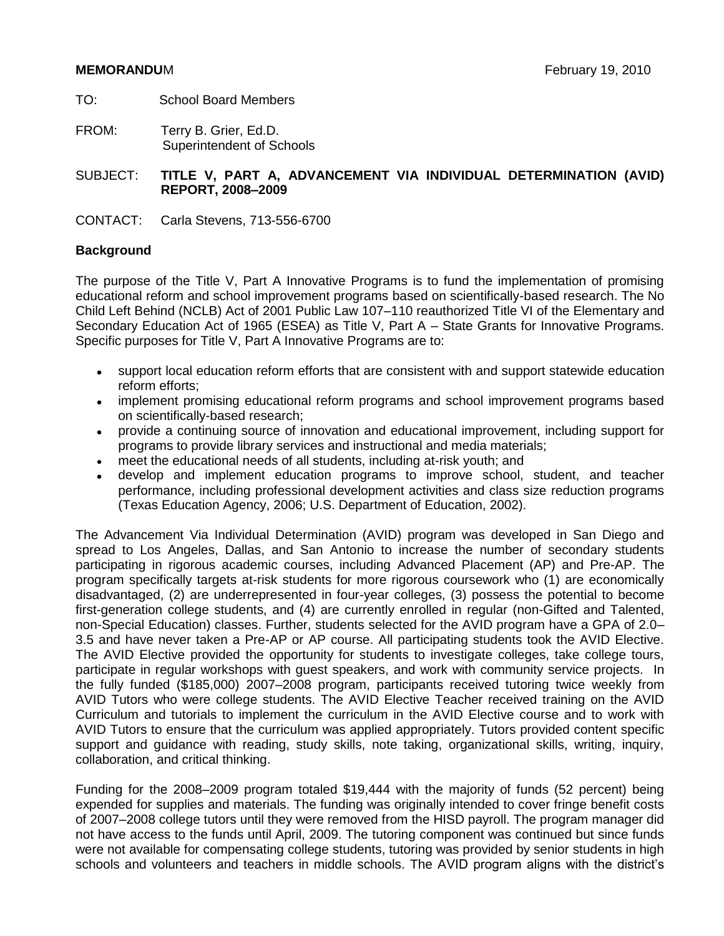- TO: School Board Members
- FROM: Terry B. Grier, Ed.D. Superintendent of Schools

SUBJECT: **TITLE V, PART A, ADVANCEMENT VIA INDIVIDUAL DETERMINATION (AVID) REPORT, 2008–2009**

CONTACT: Carla Stevens, 713-556-6700

## **Background**

The purpose of the Title V, Part A Innovative Programs is to fund the implementation of promising educational reform and school improvement programs based on scientifically-based research. The No Child Left Behind (NCLB) Act of 2001 Public Law 107–110 reauthorized Title VI of the Elementary and Secondary Education Act of 1965 (ESEA) as Title V, Part A – State Grants for Innovative Programs. Specific purposes for Title V, Part A Innovative Programs are to:

- support local education reform efforts that are consistent with and support statewide education  $\bullet$ reform efforts;
- implement promising educational reform programs and school improvement programs based  $\bullet$ on scientifically-based research;
- provide a continuing source of innovation and educational improvement, including support for  $\bullet$ programs to provide library services and instructional and media materials;
- meet the educational needs of all students, including at-risk youth; and
- develop and implement education programs to improve school, student, and teacher performance, including professional development activities and class size reduction programs (Texas Education Agency, 2006; U.S. Department of Education, 2002).

The Advancement Via Individual Determination (AVID) program was developed in San Diego and spread to Los Angeles, Dallas, and San Antonio to increase the number of secondary students participating in rigorous academic courses, including Advanced Placement (AP) and Pre-AP. The program specifically targets at-risk students for more rigorous coursework who (1) are economically disadvantaged, (2) are underrepresented in four-year colleges, (3) possess the potential to become first-generation college students, and (4) are currently enrolled in regular (non-Gifted and Talented, non-Special Education) classes. Further, students selected for the AVID program have a GPA of 2.0– 3.5 and have never taken a Pre-AP or AP course. All participating students took the AVID Elective. The AVID Elective provided the opportunity for students to investigate colleges, take college tours, participate in regular workshops with guest speakers, and work with community service projects. In the fully funded (\$185,000) 2007–2008 program, participants received tutoring twice weekly from AVID Tutors who were college students. The AVID Elective Teacher received training on the AVID Curriculum and tutorials to implement the curriculum in the AVID Elective course and to work with AVID Tutors to ensure that the curriculum was applied appropriately. Tutors provided content specific support and guidance with reading, study skills, note taking, organizational skills, writing, inquiry, collaboration, and critical thinking.

Funding for the 2008–2009 program totaled \$19,444 with the majority of funds (52 percent) being expended for supplies and materials. The funding was originally intended to cover fringe benefit costs of 2007–2008 college tutors until they were removed from the HISD payroll. The program manager did not have access to the funds until April, 2009. The tutoring component was continued but since funds were not available for compensating college students, tutoring was provided by senior students in high schools and volunteers and teachers in middle schools. The AVID program aligns with the district's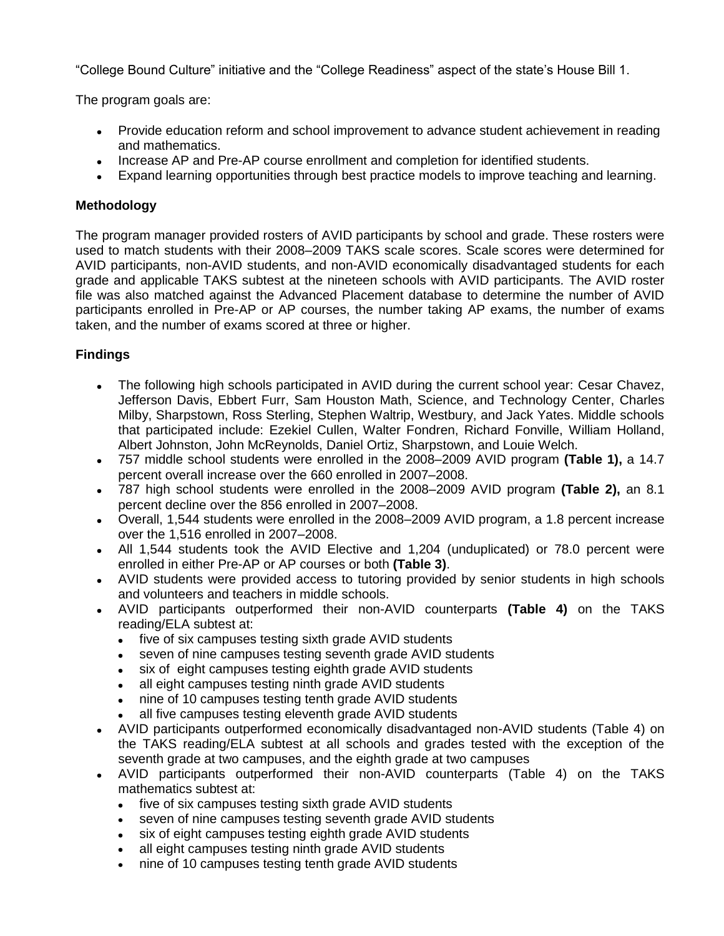"College Bound Culture" initiative and the "College Readiness" aspect of the state's House Bill 1.

The program goals are:

- Provide education reform and school improvement to advance student achievement in reading and mathematics.
- Increase AP and Pre-AP course enrollment and completion for identified students.
- Expand learning opportunities through best practice models to improve teaching and learning.

# **Methodology**

The program manager provided rosters of AVID participants by school and grade. These rosters were used to match students with their 2008–2009 TAKS scale scores. Scale scores were determined for AVID participants, non-AVID students, and non-AVID economically disadvantaged students for each grade and applicable TAKS subtest at the nineteen schools with AVID participants. The AVID roster file was also matched against the Advanced Placement database to determine the number of AVID participants enrolled in Pre-AP or AP courses, the number taking AP exams, the number of exams taken, and the number of exams scored at three or higher.

# **Findings**

- The following high schools participated in AVID during the current school year: Cesar Chavez, Jefferson Davis, Ebbert Furr, Sam Houston Math, Science, and Technology Center, Charles Milby, Sharpstown, Ross Sterling, Stephen Waltrip, Westbury, and Jack Yates. Middle schools that participated include: Ezekiel Cullen, Walter Fondren, Richard Fonville, William Holland, Albert Johnston, John McReynolds, Daniel Ortiz, Sharpstown, and Louie Welch.
- 757 middle school students were enrolled in the 2008–2009 AVID program **(Table 1),** a 14.7 percent overall increase over the 660 enrolled in 2007–2008.
- 787 high school students were enrolled in the 2008–2009 AVID program **(Table 2),** an 8.1 percent decline over the 856 enrolled in 2007–2008.
- Overall, 1,544 students were enrolled in the 2008–2009 AVID program, a 1.8 percent increase over the 1,516 enrolled in 2007–2008.
- All 1,544 students took the AVID Elective and 1,204 (unduplicated) or 78.0 percent were enrolled in either Pre-AP or AP courses or both **(Table 3)**.
- AVID students were provided access to tutoring provided by senior students in high schools and volunteers and teachers in middle schools.
- AVID participants outperformed their non-AVID counterparts **(Table 4)** on the TAKS reading/ELA subtest at:
	- five of six campuses testing sixth grade AVID students  $\bullet$
	- seven of nine campuses testing seventh grade AVID students
	- six of eight campuses testing eighth grade AVID students  $\bullet$
	- all eight campuses testing ninth grade AVID students
	- nine of 10 campuses testing tenth grade AVID students  $\bullet$
	- all five campuses testing eleventh grade AVID students
- AVID participants outperformed economically disadvantaged non-AVID students (Table 4) on the TAKS reading/ELA subtest at all schools and grades tested with the exception of the seventh grade at two campuses, and the eighth grade at two campuses
- AVID participants outperformed their non-AVID counterparts (Table 4) on the TAKS mathematics subtest at:
	- five of six campuses testing sixth grade AVID students  $\bullet$
	- seven of nine campuses testing seventh grade AVID students  $\bullet$
	- six of eight campuses testing eighth grade AVID students
	- all eight campuses testing ninth grade AVID students
	- nine of 10 campuses testing tenth grade AVID students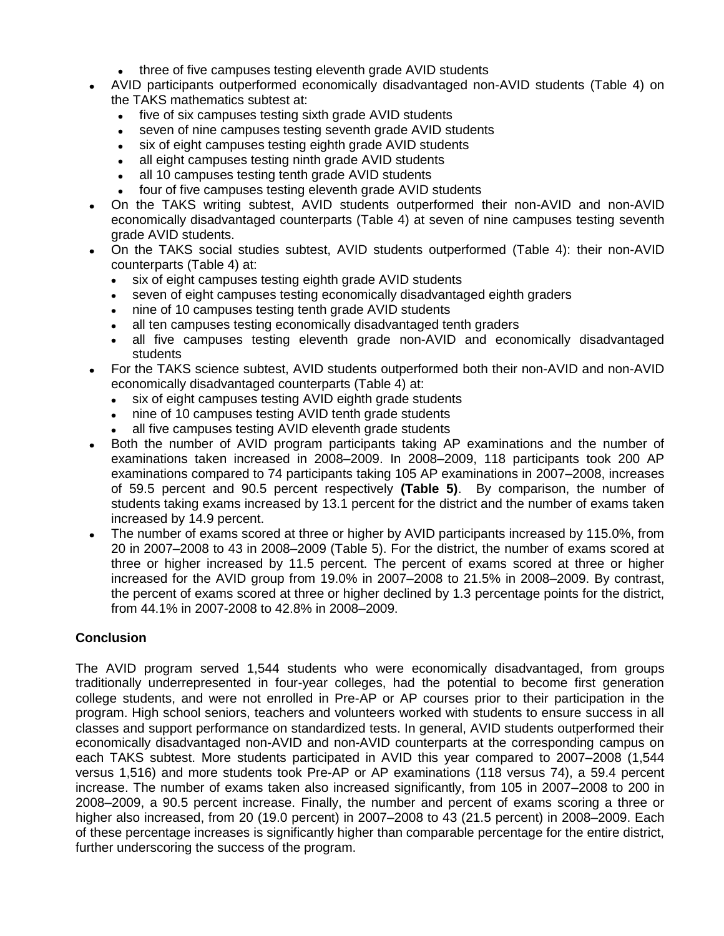- $\bullet$ three of five campuses testing eleventh grade AVID students
- AVID participants outperformed economically disadvantaged non-AVID students (Table 4) on  $\bullet$ the TAKS mathematics subtest at:
	- $\bullet$ five of six campuses testing sixth grade AVID students
	- seven of nine campuses testing seventh grade AVID students
	- six of eight campuses testing eighth grade AVID students  $\bullet$
	- all eight campuses testing ninth grade AVID students
	- all 10 campuses testing tenth grade AVID students
	- four of five campuses testing eleventh grade AVID students
- On the TAKS writing subtest, AVID students outperformed their non-AVID and non-AVID  $\bullet$ economically disadvantaged counterparts (Table 4) at seven of nine campuses testing seventh grade AVID students.
- On the TAKS social studies subtest, AVID students outperformed (Table 4): their non-AVID counterparts (Table 4) at:
	- six of eight campuses testing eighth grade AVID students  $\bullet$
	- seven of eight campuses testing economically disadvantaged eighth graders  $\bullet$
	- nine of 10 campuses testing tenth grade AVID students  $\bullet$
	- all ten campuses testing economically disadvantaged tenth graders  $\bullet$
	- all five campuses testing eleventh grade non-AVID and economically disadvantaged students
- For the TAKS science subtest, AVID students outperformed both their non-AVID and non-AVID  $\bullet$ economically disadvantaged counterparts (Table 4) at:
	- six of eight campuses testing AVID eighth grade students
	- nine of 10 campuses testing AVID tenth grade students
	- all five campuses testing AVID eleventh grade students
- Both the number of AVID program participants taking AP examinations and the number of  $\bullet$ examinations taken increased in 2008–2009. In 2008–2009, 118 participants took 200 AP examinations compared to 74 participants taking 105 AP examinations in 2007–2008, increases of 59.5 percent and 90.5 percent respectively **(Table 5)**. By comparison, the number of students taking exams increased by 13.1 percent for the district and the number of exams taken increased by 14.9 percent.
- The number of exams scored at three or higher by AVID participants increased by 115.0%, from 20 in 2007–2008 to 43 in 2008–2009 (Table 5). For the district, the number of exams scored at three or higher increased by 11.5 percent. The percent of exams scored at three or higher increased for the AVID group from 19.0% in 2007–2008 to 21.5% in 2008–2009. By contrast, the percent of exams scored at three or higher declined by 1.3 percentage points for the district, from 44.1% in 2007-2008 to 42.8% in 2008–2009.

# **Conclusion**

The AVID program served 1,544 students who were economically disadvantaged, from groups traditionally underrepresented in four-year colleges, had the potential to become first generation college students, and were not enrolled in Pre-AP or AP courses prior to their participation in the program. High school seniors, teachers and volunteers worked with students to ensure success in all classes and support performance on standardized tests. In general, AVID students outperformed their economically disadvantaged non-AVID and non-AVID counterparts at the corresponding campus on each TAKS subtest. More students participated in AVID this year compared to 2007–2008 (1,544 versus 1,516) and more students took Pre-AP or AP examinations (118 versus 74), a 59.4 percent increase. The number of exams taken also increased significantly, from 105 in 2007–2008 to 200 in 2008–2009, a 90.5 percent increase. Finally, the number and percent of exams scoring a three or higher also increased, from 20 (19.0 percent) in 2007–2008 to 43 (21.5 percent) in 2008–2009. Each of these percentage increases is significantly higher than comparable percentage for the entire district, further underscoring the success of the program.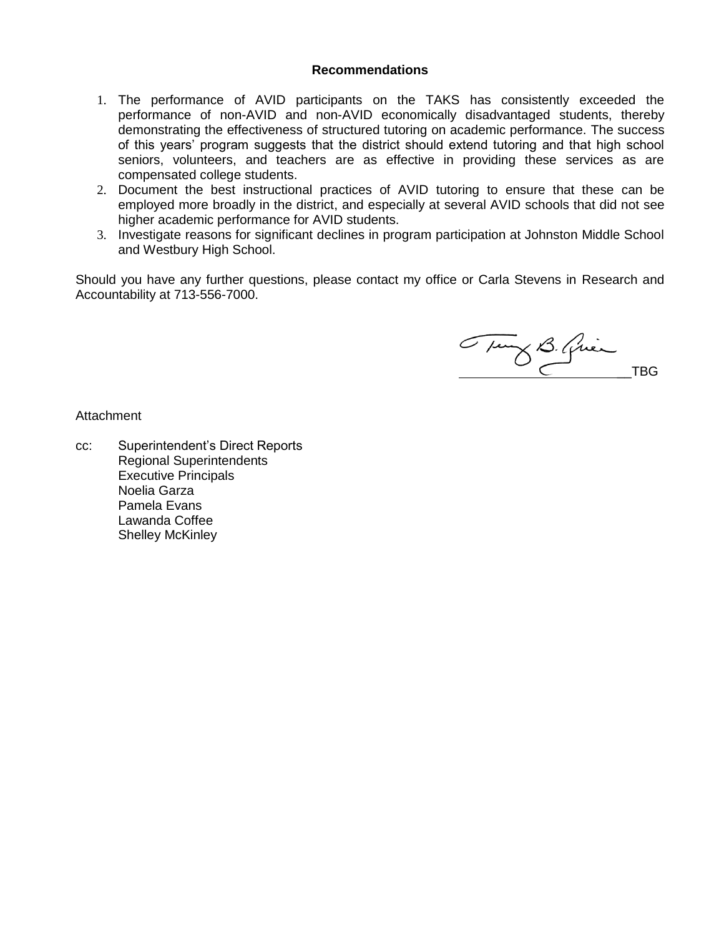#### **Recommendations**

- 1. The performance of AVID participants on the TAKS has consistently exceeded the performance of non-AVID and non-AVID economically disadvantaged students, thereby demonstrating the effectiveness of structured tutoring on academic performance. The success of this years' program suggests that the district should extend tutoring and that high school seniors, volunteers, and teachers are as effective in providing these services as are compensated college students.
- 2. Document the best instructional practices of AVID tutoring to ensure that these can be employed more broadly in the district, and especially at several AVID schools that did not see higher academic performance for AVID students.
- 3. Investigate reasons for significant declines in program participation at Johnston Middle School and Westbury High School.

Should you have any further questions, please contact my office or Carla Stevens in Research and Accountability at 713-556-7000.

Tury B. Qui

Attachment

cc: Superintendent's Direct Reports Regional Superintendents Executive Principals Noelia Garza Pamela Evans Lawanda Coffee Shelley McKinley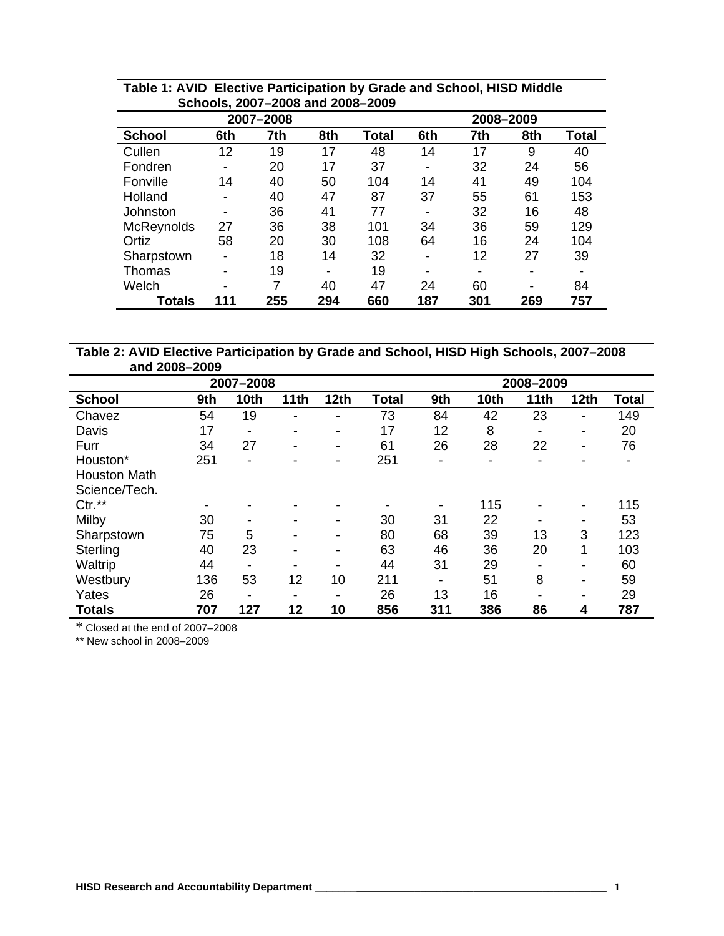|                   | OVIIVVIU, LUVI           | LUUU UIIU LUUU LUUU<br>2007-2008 | 2008-2009 |       |     |                          |     |              |
|-------------------|--------------------------|----------------------------------|-----------|-------|-----|--------------------------|-----|--------------|
| <b>School</b>     | 6th                      | 7th                              | 8th       | Total | 6th | 7th                      | 8th | <b>Total</b> |
| Cullen            | 12                       | 19                               | 17        | 48    | 14  | 17                       | 9   | 40           |
| Fondren           | $\blacksquare$           | 20                               | 17        | 37    |     | 32                       | 24  | 56           |
| Fonville          | 14                       | 40                               | 50        | 104   | 14  | 41                       | 49  | 104          |
| Holland           |                          | 40                               | 47        | 87    | 37  | 55                       | 61  | 153          |
| Johnston          | -                        | 36                               | 41        | 77    |     | 32                       | 16  | 48           |
| <b>McReynolds</b> | 27                       | 36                               | 38        | 101   | 34  | 36                       | 59  | 129          |
| Ortiz             | 58                       | 20                               | 30        | 108   | 64  | 16                       | 24  | 104          |
| Sharpstown        | $\overline{\phantom{0}}$ | 18                               | 14        | 32    | -   | 12                       | 27  | 39           |
| Thomas            |                          | 19                               | -         | 19    |     | $\overline{\phantom{0}}$ |     |              |
| Welch             | $\overline{\phantom{0}}$ | 7                                | 40        | 47    | 24  | 60                       | -   | 84           |
| Totals            | 111                      | 255                              | 294       | 660   | 187 | 301                      | 269 | 757          |

### **Table 1: AVID Elective Participation by Grade and School, HISD Middle Schools, 2007–2008 and 2008–2009**

**Table 2: AVID Elective Participation by Grade and School, HISD High Schools, 2007–2008 and 2008–2009**

|                     |                |                          | 2008-2009                |                          |              |     |                |      |                          |       |
|---------------------|----------------|--------------------------|--------------------------|--------------------------|--------------|-----|----------------|------|--------------------------|-------|
| <b>School</b>       | 9th            | 10th                     | 11th                     | 12 <sub>th</sub>         | <b>Total</b> | 9th | 10th           | 11th | 12 <sub>th</sub>         | Total |
| Chavez              | 54             | 19                       | ٠                        | -                        | 73           | 84  | 42             | 23   | $\overline{a}$           | 149   |
| Davis               | 17             | -                        | $\overline{\phantom{a}}$ | $\overline{\phantom{a}}$ | 17           | 12  | 8              | -    | $\overline{\phantom{a}}$ | 20    |
| Furr                | 34             | 27                       | $\blacksquare$           | $\blacksquare$           | 61           | 26  | 28             | 22   | $\overline{\phantom{a}}$ | 76    |
| Houston*            | 251            | -                        | $\overline{\phantom{0}}$ | $\overline{\phantom{a}}$ | 251          | -   | $\blacksquare$ |      | $\overline{\phantom{a}}$ |       |
| <b>Houston Math</b> |                |                          |                          |                          |              |     |                |      |                          |       |
| Science/Tech.       |                |                          |                          |                          |              |     |                |      |                          |       |
| $Ctr.*$             | $\blacksquare$ |                          |                          | $\overline{\phantom{0}}$ | $\,$         |     | 115            |      | $\overline{\phantom{a}}$ | 115   |
| Milby               | 30             | $\overline{\phantom{a}}$ |                          | $\overline{\phantom{a}}$ | 30           | 31  | 22             |      | $\overline{\phantom{a}}$ | 53    |
| Sharpstown          | 75             | 5                        |                          | $\overline{\phantom{a}}$ | 80           | 68  | 39             | 13   | 3                        | 123   |
| Sterling            | 40             | 23                       | $\,$                     | ٠                        | 63           | 46  | 36             | 20   | 1                        | 103   |
| Waltrip             | 44             | $\overline{\phantom{a}}$ | $\overline{\phantom{0}}$ | $\overline{\phantom{a}}$ | 44           | 31  | 29             |      | $\overline{\phantom{a}}$ | 60    |
| Westbury            | 136            | 53                       | 12                       | 10                       | 211          | -   | 51             | 8    | $\overline{\phantom{a}}$ | 59    |
| Yates               | 26             | $\overline{\phantom{a}}$ | $\,$                     | ٠                        | 26           | 13  | 16             |      | $\overline{\phantom{a}}$ | 29    |
| <b>Totals</b>       | 707            | 127                      | 12                       | 10                       | 856          | 311 | 386            | 86   | 4                        | 787   |

\* Closed at the end of 2007–2008

\*\* New school in 2008–2009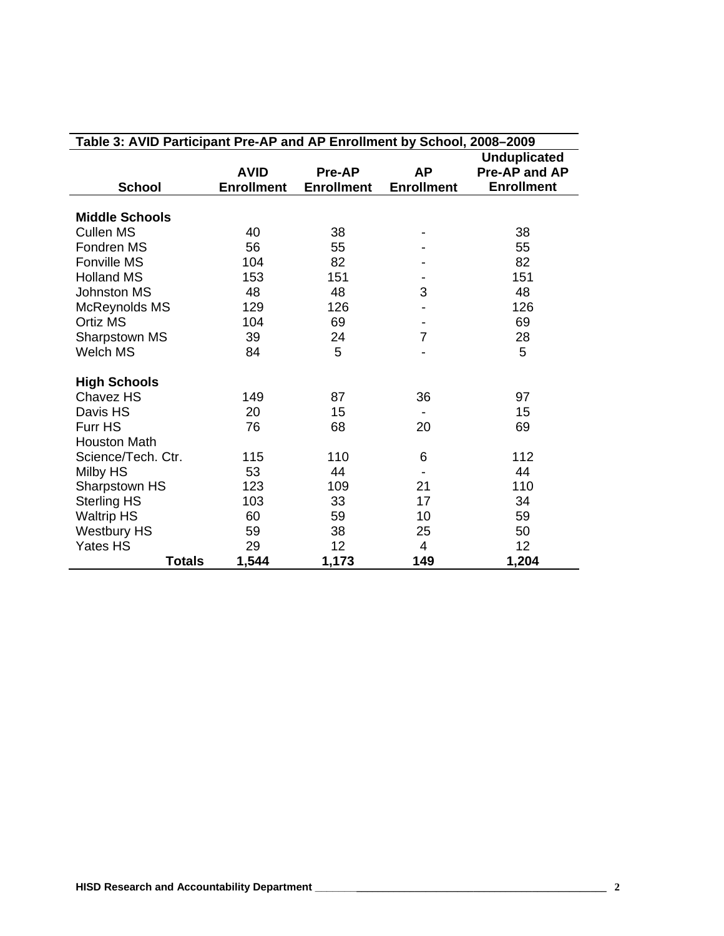| Table 3: AVID Participant Pre-AP and AP Enrollment by School, 2008-2009 |                   |                   |                   |                     |  |  |  |  |  |  |
|-------------------------------------------------------------------------|-------------------|-------------------|-------------------|---------------------|--|--|--|--|--|--|
|                                                                         |                   |                   |                   | <b>Unduplicated</b> |  |  |  |  |  |  |
|                                                                         | <b>AVID</b>       | Pre-AP            | <b>AP</b>         | Pre-AP and AP       |  |  |  |  |  |  |
| <b>School</b>                                                           | <b>Enrollment</b> | <b>Enrollment</b> | <b>Enrollment</b> | <b>Enrollment</b>   |  |  |  |  |  |  |
|                                                                         |                   |                   |                   |                     |  |  |  |  |  |  |
| <b>Middle Schools</b>                                                   |                   |                   |                   |                     |  |  |  |  |  |  |
| <b>Cullen MS</b>                                                        | 40                | 38                |                   | 38                  |  |  |  |  |  |  |
| Fondren MS                                                              | 56                | 55                |                   | 55                  |  |  |  |  |  |  |
| <b>Fonville MS</b>                                                      | 104               | 82                |                   | 82                  |  |  |  |  |  |  |
| <b>Holland MS</b>                                                       | 153               | 151               |                   | 151                 |  |  |  |  |  |  |
| <b>Johnston MS</b>                                                      | 48                | 48                | 3                 | 48                  |  |  |  |  |  |  |
| McReynolds MS                                                           | 129               | 126               |                   | 126                 |  |  |  |  |  |  |
| <b>Ortiz MS</b>                                                         | 104               | 69                |                   | 69                  |  |  |  |  |  |  |
| Sharpstown MS                                                           | 39                | 24                | $\overline{7}$    | 28                  |  |  |  |  |  |  |
| Welch MS                                                                | 84                | 5                 |                   | 5                   |  |  |  |  |  |  |
| <b>High Schools</b>                                                     |                   |                   |                   |                     |  |  |  |  |  |  |
| Chavez HS                                                               | 149               | 87                | 36                | 97                  |  |  |  |  |  |  |
| Davis HS                                                                | 20                | 15                |                   | 15                  |  |  |  |  |  |  |
| Furr HS                                                                 | 76                | 68                | 20                | 69                  |  |  |  |  |  |  |
| <b>Houston Math</b>                                                     |                   |                   |                   |                     |  |  |  |  |  |  |
| Science/Tech. Ctr.                                                      | 115               | 110               | 6                 | 112                 |  |  |  |  |  |  |
| Milby HS                                                                | 53                | 44                |                   | 44                  |  |  |  |  |  |  |
| Sharpstown HS                                                           | 123               | 109               | 21                | 110                 |  |  |  |  |  |  |
| <b>Sterling HS</b>                                                      | 103               | 33                | 17                | 34                  |  |  |  |  |  |  |
| <b>Waltrip HS</b>                                                       | 60                | 59                | 10                | 59                  |  |  |  |  |  |  |
| <b>Westbury HS</b>                                                      | 59                | 38                | 25                | 50                  |  |  |  |  |  |  |
| <b>Yates HS</b>                                                         | 29                | 12                | 4                 | 12                  |  |  |  |  |  |  |
| <b>Totals</b>                                                           | 1,544             | 1,173             | 149               | 1,204               |  |  |  |  |  |  |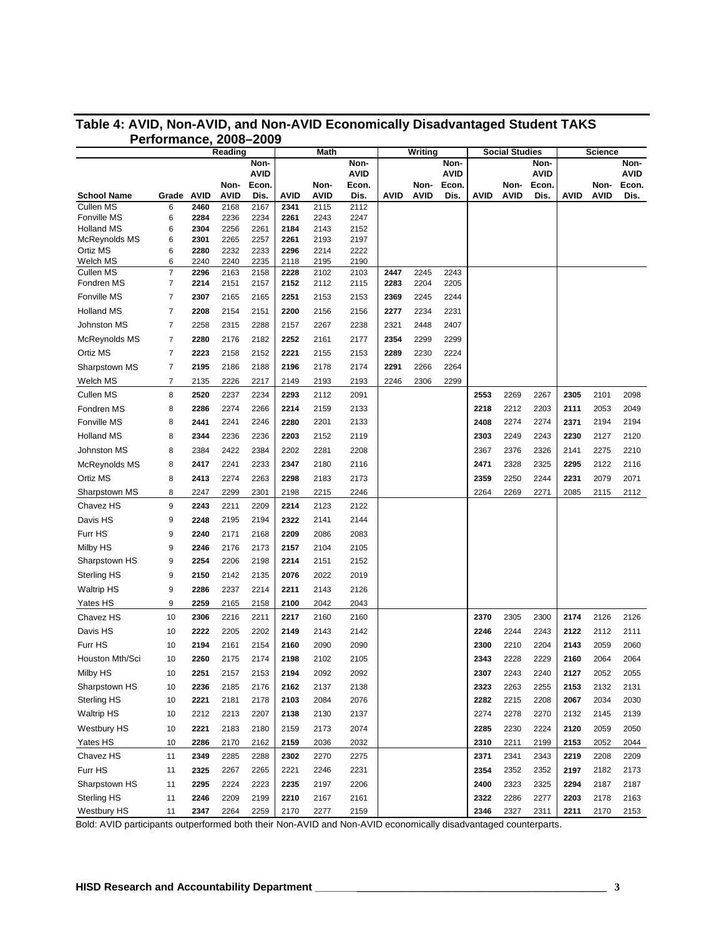| Reading                         |            | Math         |              |               | Writing      |              |               | <b>Social Studies</b> |              |               | <b>Science</b> |              |               |      |              |               |
|---------------------------------|------------|--------------|--------------|---------------|--------------|--------------|---------------|-----------------------|--------------|---------------|----------------|--------------|---------------|------|--------------|---------------|
|                                 |            |              |              | Non-          |              |              | Non-          |                       |              | Non-          |                |              | Non-          |      |              | Non-          |
|                                 |            |              |              | <b>AVID</b>   |              |              | <b>AVID</b>   |                       |              | <b>AVID</b>   |                |              | <b>AVID</b>   |      |              | <b>AVID</b>   |
|                                 | Grade AVID |              | Non-<br>AVID | Econ.<br>Dis. | AVID         | Non-<br>AVID | Econ.<br>Dis. | <b>AVID</b>           | Non-<br>AVID | Econ.<br>Dis. | AVID           | Non-<br>AVID | Econ.<br>Dis. | AVID | Non-<br>AVID | Econ.<br>Dis. |
| <b>School Name</b><br>Cullen MS | 6          | 2460         | 2168         | 2167          | 2341         | 2115         | 2112          |                       |              |               |                |              |               |      |              |               |
| Fonville MS                     | 6          | 2284         | 2236         | 2234          | 2261         | 2243         | 2247          |                       |              |               |                |              |               |      |              |               |
| <b>Holland MS</b>               | 6          | 2304         | 2256         | 2261          | 2184         | 2143         | 2152          |                       |              |               |                |              |               |      |              |               |
| McReynolds MS                   | 6          | 2301         | 2265         | 2257          | 2261         | 2193         | 2197          |                       |              |               |                |              |               |      |              |               |
| Ortiz MS                        | 6<br>6     | 2280         | 2232<br>2240 | 2233          | 2296         | 2214         | 2222          |                       |              |               |                |              |               |      |              |               |
| Welch MS<br>Cullen MS           | 7          | 2240<br>2296 | 2163         | 2235<br>2158  | 2118<br>2228 | 2195<br>2102 | 2190<br>2103  | 2447                  | 2245         | 2243          |                |              |               |      |              |               |
| Fondren MS                      | 7          | 2214         | 2151         | 2157          | 2152         | 2112         | 2115          | 2283                  | 2204         | 2205          |                |              |               |      |              |               |
| Fonville MS                     | 7          | 2307         | 2165         | 2165          | 2251         | 2153         | 2153          | 2369                  | 2245         | 2244          |                |              |               |      |              |               |
| <b>Holland MS</b>               | 7          | 2208         | 2154         | 2151          | 2200         | 2156         | 2156          | 2277                  | 2234         | 2231          |                |              |               |      |              |               |
| <b>Johnston MS</b>              | 7          | 2258         | 2315         | 2288          | 2157         | 2267         | 2238          | 2321                  | 2448         | 2407          |                |              |               |      |              |               |
| McReynolds MS                   | 7          | 2280         | 2176         | 2182          | 2252         | 2161         | 2177          | 2354                  | 2299         | 2299          |                |              |               |      |              |               |
| Ortiz MS                        | 7          | 2223         | 2158         | 2152          | 2221         | 2155         | 2153          | 2289                  | 2230         | 2224          |                |              |               |      |              |               |
| Sharpstown MS                   | 7          | 2195         | 2186         | 2188          | 2196         | 2178         | 2174          | 2291                  | 2266         | 2264          |                |              |               |      |              |               |
| Welch MS                        | 7          | 2135         | 2226         | 2217          | 2149         | 2193         | 2193          | 2246                  | 2306         | 2299          |                |              |               |      |              |               |
| Cullen MS                       | 8          | 2520         | 2237         | 2234          | 2293         | 2112         | 2091          |                       |              |               | 2553           | 2269         | 2267          | 2305 | 2101         | 2098          |
| Fondren MS                      | 8          | 2286         | 2274         | 2266          | 2214         | 2159         | 2133          |                       |              |               | 2218           | 2212         | 2203          | 2111 | 2053         | 2049          |
| Fonville MS                     | 8          | 2441         | 2241         | 2246          | 2280         | 2201         | 2133          |                       |              |               | 2408           | 2274         | 2274          | 2371 | 2194         | 2194          |
| <b>Holland MS</b>               | 8          | 2344         | 2236         | 2236          | 2203         | 2152         | 2119          |                       |              |               | 2303           | 2249         | 2243          | 2230 | 2127         | 2120          |
| <b>Johnston MS</b>              | 8          | 2384         | 2422         | 2384          | 2202         | 2281         | 2208          |                       |              |               | 2367           | 2376         | 2326          | 2141 | 2275         | 2210          |
| McReynolds MS                   | 8          | 2417         | 2241         | 2233          | 2347         | 2180         | 2116          |                       |              |               | 2471           | 2328         | 2325          | 2295 | 2122         | 2116          |
| Ortiz MS                        | 8          | 2413         | 2274         | 2263          | 2298         | 2183         | 2173          |                       |              |               | 2359           | 2250         | 2244          | 2231 | 2079         | 2071          |
| Sharpstown MS                   | 8          | 2247         | 2299         | 2301          | 2198         | 2215         | 2246          |                       |              |               | 2264           | 2269         | 2271          | 2085 | 2115         | 2112          |
| Chavez HS                       | 9          | 2243         | 2211         | 2209          | 2214         | 2123         | 2122          |                       |              |               |                |              |               |      |              |               |
| Davis HS                        | 9          | 2248         | 2195         | 2194          | 2322         | 2141         | 2144          |                       |              |               |                |              |               |      |              |               |
| Furr HS                         | 9          | 2240         | 2171         | 2168          | 2209         | 2086         | 2083          |                       |              |               |                |              |               |      |              |               |
| Milby HS                        | 9          | 2246         | 2176         | 2173          | 2157         | 2104         | 2105          |                       |              |               |                |              |               |      |              |               |
| Sharpstown HS                   | 9          | 2254         | 2206         | 2198          | 2214         | 2151         | 2152          |                       |              |               |                |              |               |      |              |               |
| Sterling HS                     | 9          | 2150         | 2142         | 2135          | 2076         | 2022         | 2019          |                       |              |               |                |              |               |      |              |               |
| <b>Waltrip HS</b>               | 9          | 2286         | 2237         | 2214          | 2211         | 2143         | 2126          |                       |              |               |                |              |               |      |              |               |
| Yates HS                        | 9          | 2259         | 2165         | 2158          | 2100         | 2042         | 2043          |                       |              |               |                |              |               |      |              |               |
| Chavez HS                       | 10         | 2306         | 2216         | 2211          | 2217         | 2160         | 2160          |                       |              |               | 2370           | 2305         | 2300          | 2174 | 2126         | 2126          |
| Davis HS                        | 10         | 2222         | 2205         | 2202          | 2149         | 2143         | 2142          |                       |              |               | 2246           | 2244         | 2243          | 2122 | 2112         | 2111          |
| Furr HS                         | 10         | 2194         | 2161         | 2154          | 2160         | 2090         | 2090          |                       |              |               | 2300           | 2210         | 2204          | 2143 | 2059         | 2060          |
| Houston Mth/Sci                 | 10         | 2260         | 2175         | 2174          | 2198         | 2102         | 2105          |                       |              |               | 2343           | 2228         | 2229          | 2160 | 2064         | 2064          |
| Milby HS                        | 10         | 2251         | 2157         | 2153          | 2194         | 2092         | 2092          |                       |              |               | 2307           | 2243         | 2240          | 2127 | 2052         | 2055          |
| Sharpstown HS                   | 10         | 2236         | 2185         | 2176          | 2162         | 2137         | 2138          |                       |              |               | 2323           | 2263         | 2255          | 2153 | 2132         | 2131          |
| Sterling HS                     | 10         | 2221         | 2181         | 2178          | 2103         | 2084         | 2076          |                       |              |               | 2282           | 2215         | 2208          | 2067 | 2034         | 2030          |
| <b>Waltrip HS</b>               | 10         | 2212         | 2213         | 2207          | 2138         | 2130         | 2137          |                       |              |               | 2274           | 2278         | 2270          | 2132 | 2145         | 2139          |
| <b>Westbury HS</b>              | 10         | 2221         | 2183         | 2180          | 2159         | 2173         | 2074          |                       |              |               | 2285           | 2230         | 2224          | 2120 | 2059         | 2050          |
| Yates HS                        | 10         | 2286         | 2170         | 2162          | 2159         | 2036         | 2032          |                       |              |               | 2310           | 2211         | 2199          | 2153 | 2052         | 2044          |
| Chavez HS                       | 11         | 2349         | 2285         | 2288          | 2302         | 2270         | 2275          |                       |              |               | 2371           | 2341         | 2343          | 2219 | 2208         | 2209          |
| Furr HS                         | 11         | 2325         | 2267         | 2265          | 2221         | 2246         | 2231          |                       |              |               | 2354           | 2352         | 2352          | 2197 | 2182         | 2173          |
| Sharpstown HS                   | 11         | 2295         | 2224         | 2223          | 2235         | 2197         | 2206          |                       |              |               | 2400           | 2323         | 2325          | 2294 | 2187         | 2187          |
| Sterling HS                     | 11         | 2246         | 2209         | 2199          | 2210         | 2167         | 2161          |                       |              |               | 2322           | 2286         | 2277          | 2203 | 2178         | 2163          |
| Westbury HS                     | 11         | 2347         | 2264         | 2259          | 2170         | 2277         | 2159          |                       |              |               | 2346           | 2327         | 2311          | 2211 | 2170         | 2153          |

## **Table 4: AVID, Non-AVID, and Non-AVID Economically Disadvantaged Student TAKS Performance, 2008–2009**

Bold: AVID participants outperformed both their Non-AVID and Non-AVID economically disadvantaged counterparts.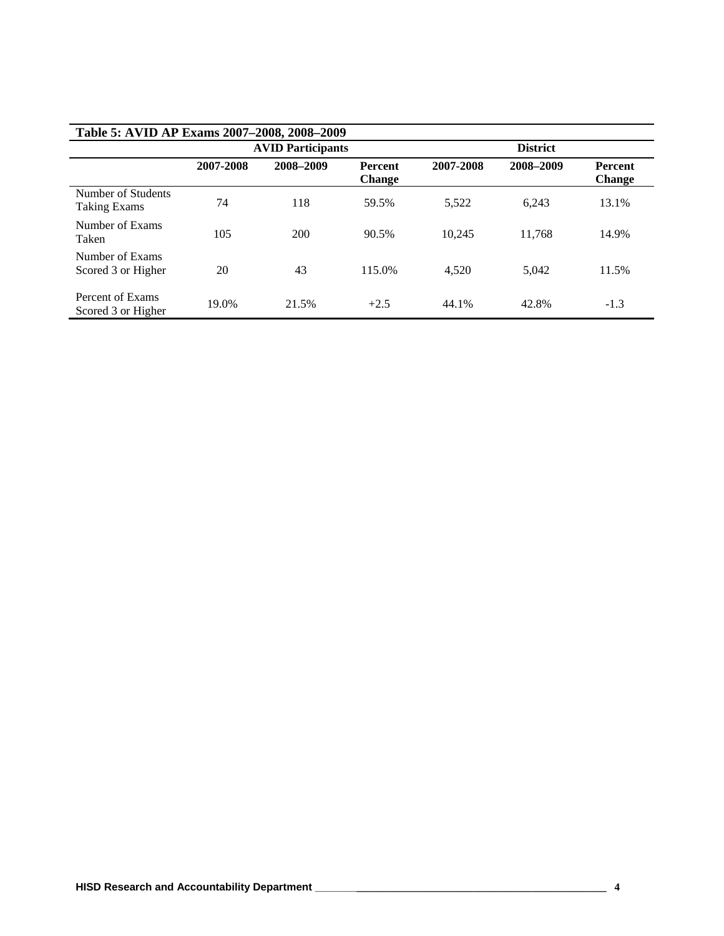| Table 5: AVID AP Exams 2007-2008, 2008-2009 |           |                          |                                 |                 |           |                          |  |  |  |  |  |
|---------------------------------------------|-----------|--------------------------|---------------------------------|-----------------|-----------|--------------------------|--|--|--|--|--|
|                                             |           | <b>AVID Participants</b> |                                 | <b>District</b> |           |                          |  |  |  |  |  |
|                                             | 2007-2008 | 2008-2009                | <b>Percent</b><br><b>Change</b> | 2007-2008       | 2008-2009 | Percent<br><b>Change</b> |  |  |  |  |  |
| Number of Students<br><b>Taking Exams</b>   | 74        | 118                      | 59.5%                           | 5.522           | 6.243     | 13.1%                    |  |  |  |  |  |
| Number of Exams<br>Taken                    | 105       | 200                      | 90.5%                           | 10.245          | 11.768    | 14.9%                    |  |  |  |  |  |
| Number of Exams<br>Scored 3 or Higher       | 20        | 43                       | 115.0%                          | 4.520           | 5.042     | 11.5%                    |  |  |  |  |  |
| Percent of Exams<br>Scored 3 or Higher      | 19.0%     | 21.5%                    | $+2.5$                          | 44.1%           | 42.8%     | $-1.3$                   |  |  |  |  |  |